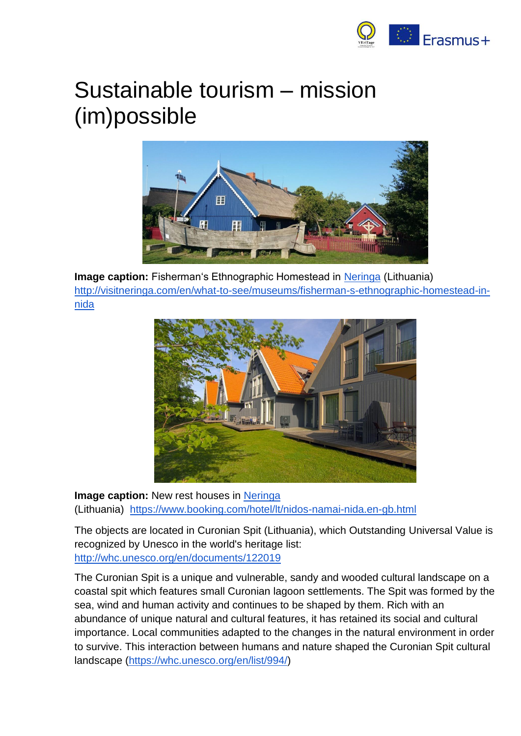

# Sustainable tourism – mission (im)possible



**Image caption:** Fisherman's Ethnographic Homestead in [Neringa](http://visitneringa.com/en) (Lithuania) [http://visitneringa.com/en/what-to-see/museums/fisherman-s-ethnographic-homestead-in](http://visitneringa.com/en/what-to-see/museums/fisherman-s-ethnographic-homestead-in-nida)[nida](http://visitneringa.com/en/what-to-see/museums/fisherman-s-ethnographic-homestead-in-nida)



**Image caption:** New rest houses in [Neringa](http://visitneringa.com/en) (Lithuania) <https://www.booking.com/hotel/lt/nidos-namai-nida.en-gb.html>

The objects are located in Curonian Spit (Lithuania), which Outstanding Universal Value is recognized by Unesco in the world's heritage list: <http://whc.unesco.org/en/documents/122019>

The Curonian Spit is a unique and vulnerable, sandy and wooded cultural landscape on a coastal spit which features small Curonian lagoon settlements. The Spit was formed by the sea, wind and human activity and continues to be shaped by them. Rich with an abundance of unique natural and cultural features, it has retained its social and cultural importance. Local communities adapted to the changes in the natural environment in order to survive. This interaction between humans and nature shaped the Curonian Spit cultural landscape [\(https://whc.unesco.org/en/list/994/\)](https://whc.unesco.org/en/list/994/)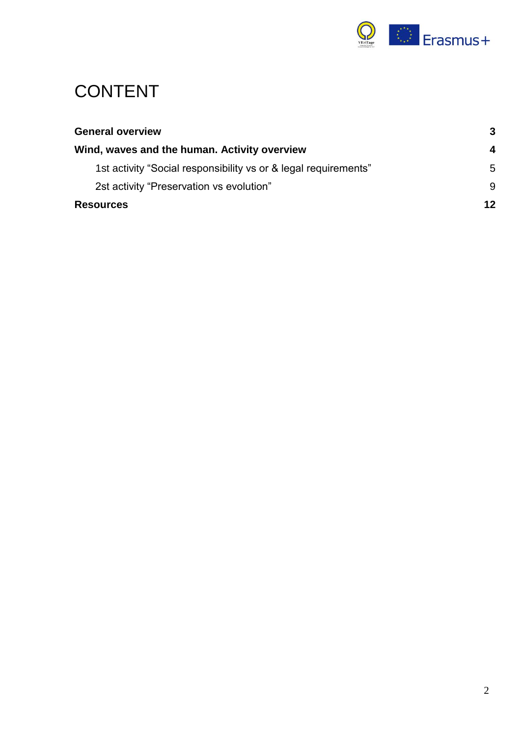

# CONTENT

| <b>General overview</b>                                         |    |
|-----------------------------------------------------------------|----|
| Wind, waves and the human. Activity overview                    | 4  |
| 1st activity "Social responsibility vs or & legal requirements" | 5  |
| 2st activity "Preservation vs evolution"                        | -9 |
| <b>Resources</b>                                                | 12 |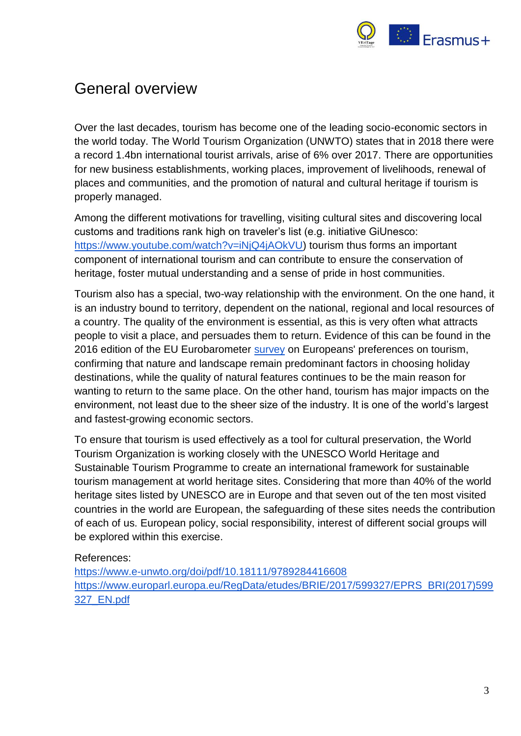

# <span id="page-2-0"></span>General overview

Over the last decades, tourism has become one of the leading socio-economic sectors in the world today. The World Tourism Organization (UNWTO) states that in 2018 there were a record 1.4bn international tourist arrivals, arise of 6% over 2017. There are opportunities for new business establishments, working places, improvement of livelihoods, renewal of places and communities, and the promotion of natural and cultural heritage if tourism is properly managed.

Among the different motivations for travelling, visiting cultural sites and discovering local customs and traditions rank high on traveler's list (e.g. initiative GiUnesco: [https://www.youtube.com/watch?v=iNjQ4jAOkVU\)](https://www.youtube.com/watch?v=iNjQ4jAOkVU) tourism thus forms an important component of international tourism and can contribute to ensure the conservation of heritage, foster mutual understanding and a sense of pride in host communities.

Tourism also has a special, two-way relationship with the environment. On the one hand, it is an industry bound to territory, dependent on the national, regional and local resources of a country. The quality of the environment is essential, as this is very often what attracts people to visit a place, and persuades them to return. Evidence of this can be found in the 2016 edition of the EU Eurobarometer [survey](https://ec.europa.eu/growth/tools-databases/vto/eurobarometer) on Europeans' preferences on tourism, confirming that nature and landscape remain predominant factors in choosing holiday destinations, while the quality of natural features continues to be the main reason for wanting to return to the same place. On the other hand, tourism has major impacts on the environment, not least due to the sheer size of the industry. It is one of the world's largest and fastest-growing economic sectors.

To ensure that tourism is used effectively as a tool for cultural preservation, the World Tourism Organization is working closely with the UNESCO World Heritage and Sustainable Tourism Programme to create an international framework for sustainable tourism management at world heritage sites. Considering that more than 40% of the world heritage sites listed by UNESCO are in Europe and that seven out of the ten most visited countries in the world are European, the safeguarding of these sites needs the contribution of each of us. European policy, social responsibility, interest of different social groups will be explored within this exercise.

#### References:

<https://www.e-unwto.org/doi/pdf/10.18111/9789284416608> [https://www.europarl.europa.eu/RegData/etudes/BRIE/2017/599327/EPRS\\_BRI\(2017\)599](https://www.europarl.europa.eu/RegData/etudes/BRIE/2017/599327/EPRS_BRI(2017)599327_EN.pdf) [327\\_EN.pdf](https://www.europarl.europa.eu/RegData/etudes/BRIE/2017/599327/EPRS_BRI(2017)599327_EN.pdf)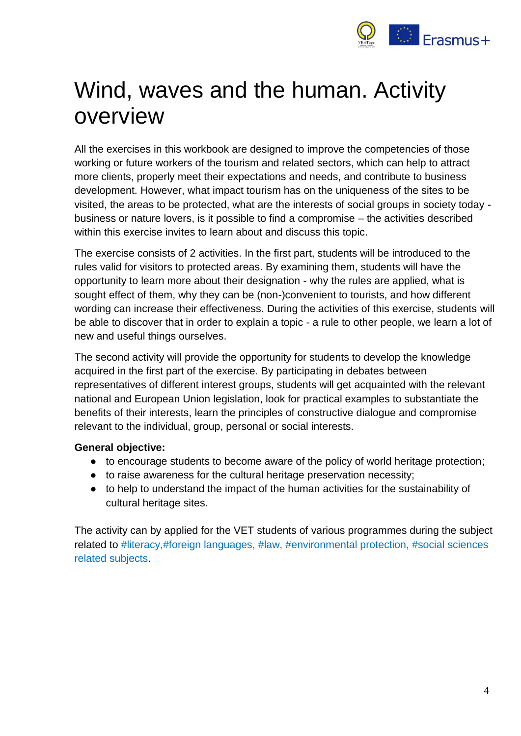

# <span id="page-3-0"></span>Wind, waves and the human. Activity overview

All the exercises in this workbook are designed to improve the competencies of those working or future workers of the tourism and related sectors, which can help to attract more clients, properly meet their expectations and needs, and contribute to business development. However, what impact tourism has on the uniqueness of the sites to be visited, the areas to be protected, what are the interests of social groups in society today business or nature lovers, is it possible to find a compromise – the activities described within this exercise invites to learn about and discuss this topic.

The exercise consists of 2 activities. In the first part, students will be introduced to the rules valid for visitors to protected areas. By examining them, students will have the opportunity to learn more about their designation - why the rules are applied, what is sought effect of them, why they can be (non-)convenient to tourists, and how different wording can increase their effectiveness. During the activities of this exercise, students will be able to discover that in order to explain a topic - a rule to other people, we learn a lot of new and useful things ourselves.

The second activity will provide the opportunity for students to develop the knowledge acquired in the first part of the exercise. By participating in debates between representatives of different interest groups, students will get acquainted with the relevant national and European Union legislation, look for practical examples to substantiate the benefits of their interests, learn the principles of constructive dialogue and compromise relevant to the individual, group, personal or social interests.

## **General objective:**

- to encourage students to become aware of the policy of world heritage protection;
- to raise awareness for the cultural heritage preservation necessity;
- to help to understand the impact of the human activities for the sustainability of cultural heritage sites.

The activity can by applied for the VET students of various programmes during the subject related to #literacy,#foreign languages, #law, #environmental protection, #social sciences related subjects.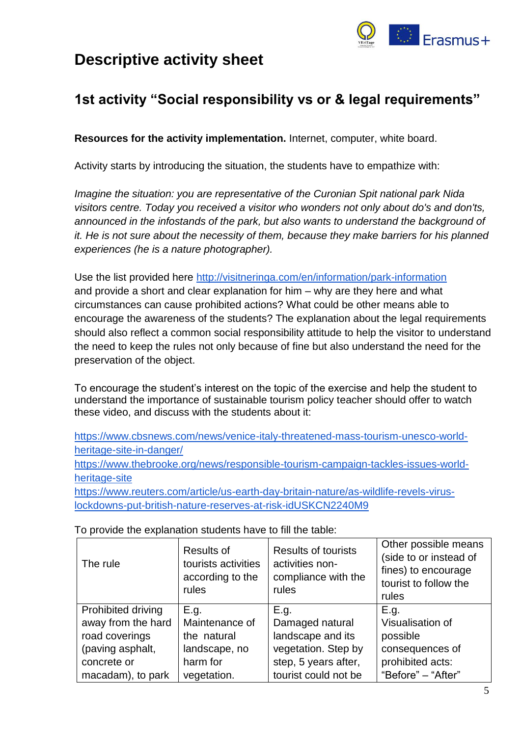

# **Descriptive activity sheet**

# <span id="page-4-0"></span>**1st activity "Social responsibility vs or & legal requirements"**

**Resources for the activity implementation.** Internet, computer, white board.

Activity starts by introducing the situation, the students have to empathize with:

*Imagine the situation: you are representative of the Curonian Spit national park Nida visitors centre. Today you received a visitor who wonders not only about do's and don'ts, announced in the infostands of the park, but also wants to understand the background of it. He is not sure about the necessity of them, because they make barriers for his planned experiences (he is a nature photographer).* 

Use the list provided here <http://visitneringa.com/en/information/park-information> and provide a short and clear explanation for him – why are they here and what circumstances can cause prohibited actions? What could be other means able to encourage the awareness of the students? The explanation about the legal requirements should also reflect a common social responsibility attitude to help the visitor to understand the need to keep the rules not only because of fine but also understand the need for the preservation of the object.

To encourage the student's interest on the topic of the exercise and help the student to understand the importance of sustainable tourism policy teacher should offer to watch these video, and discuss with the students about it:

[https://www.cbsnews.com/news/venice-italy-threatened-mass-tourism-unesco-world](https://www.cbsnews.com/news/venice-italy-threatened-mass-tourism-unesco-world-heritage-site-in-danger/)[heritage-site-in-danger/](https://www.cbsnews.com/news/venice-italy-threatened-mass-tourism-unesco-world-heritage-site-in-danger/)

[https://www.thebrooke.org/news/responsible-tourism-campaign-tackles-issues-world](https://www.thebrooke.org/news/responsible-tourism-campaign-tackles-issues-world-heritage-site)[heritage-site](https://www.thebrooke.org/news/responsible-tourism-campaign-tackles-issues-world-heritage-site)

[https://www.reuters.com/article/us-earth-day-britain-nature/as-wildlife-revels-virus](https://www.reuters.com/article/us-earth-day-britain-nature/as-wildlife-revels-virus-lockdowns-put-british-nature-reserves-at-risk-idUSKCN2240M9)[lockdowns-put-british-nature-reserves-at-risk-idUSKCN2240M9](https://www.reuters.com/article/us-earth-day-britain-nature/as-wildlife-revels-virus-lockdowns-put-british-nature-reserves-at-risk-idUSKCN2240M9)

| The rule           | Results of<br>tourists activities<br>according to the<br>rules | <b>Results of tourists</b><br>activities non-<br>compliance with the<br>rules | Other possible means<br>(side to or instead of<br>fines) to encourage<br>tourist to follow the<br>rules |
|--------------------|----------------------------------------------------------------|-------------------------------------------------------------------------------|---------------------------------------------------------------------------------------------------------|
| Prohibited driving | E.g.                                                           | E.g.                                                                          | E.g.                                                                                                    |
| away from the hard | Maintenance of                                                 | Damaged natural                                                               | Visualisation of                                                                                        |
| road coverings     | the natural                                                    | landscape and its                                                             | possible                                                                                                |
| (paving asphalt,   | landscape, no                                                  | vegetation. Step by                                                           | consequences of                                                                                         |
| concrete or        | harm for                                                       | step, 5 years after,                                                          | prohibited acts:                                                                                        |
| macadam), to park  | vegetation.                                                    | tourist could not be                                                          | "Before" - "After"                                                                                      |

To provide the explanation students have to fill the table: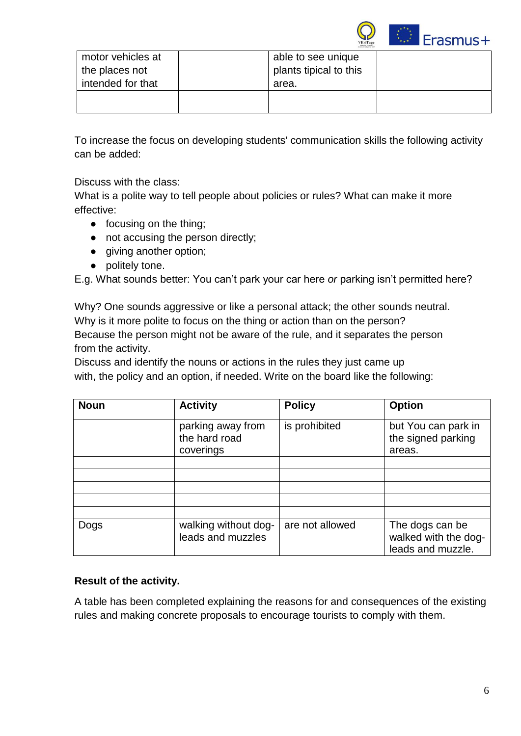



| motor vehicles at<br>the places not<br>intended for that | able to see unique<br>plants tipical to this<br>area. |  |
|----------------------------------------------------------|-------------------------------------------------------|--|
|                                                          |                                                       |  |

To increase the focus on developing students' communication skills the following activity can be added:

Discuss with the class:

What is a polite way to tell people about policies or rules? What can make it more effective:

- focusing on the thing;
- not accusing the person directly;
- giving another option;
- politely tone.

E.g. What sounds better: You can't park your car here *or* parking isn't permitted here?

Why? One sounds aggressive or like a personal attack; the other sounds neutral. Why is it more polite to focus on the thing or action than on the person? Because the person might not be aware of the rule, and it separates the person from the activity.

Discuss and identify the nouns or actions in the rules they just came up with, the policy and an option, if needed. Write on the board like the following:

| <b>Noun</b> | <b>Activity</b>                                 | <b>Policy</b>   | <b>Option</b>                                                |
|-------------|-------------------------------------------------|-----------------|--------------------------------------------------------------|
|             | parking away from<br>the hard road<br>coverings | is prohibited   | but You can park in<br>the signed parking<br>areas.          |
|             |                                                 |                 |                                                              |
|             |                                                 |                 |                                                              |
|             |                                                 |                 |                                                              |
|             |                                                 |                 |                                                              |
|             |                                                 |                 |                                                              |
| Dogs        | walking without dog-<br>leads and muzzles       | are not allowed | The dogs can be<br>walked with the dog-<br>leads and muzzle. |

## **Result of the activity.**

A table has been completed explaining the reasons for and consequences of the existing rules and making concrete proposals to encourage tourists to comply with them.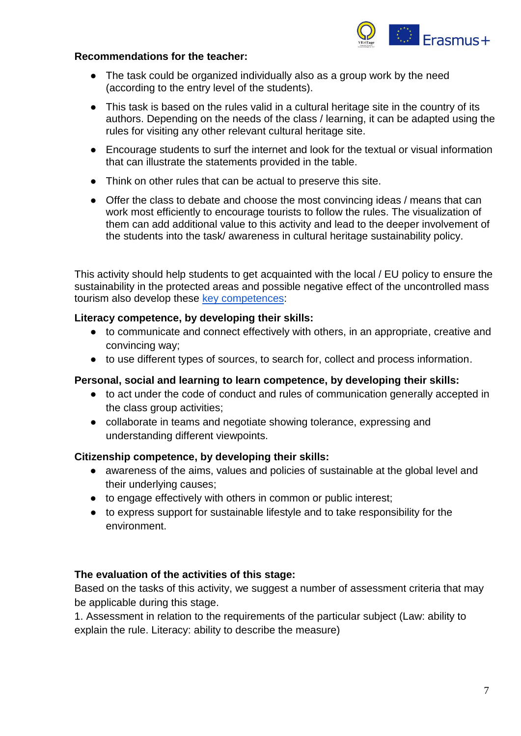

#### **Recommendations for the teacher:**

- The task could be organized individually also as a group work by the need (according to the entry level of the students).
- This task is based on the rules valid in a cultural heritage site in the country of its authors. Depending on the needs of the class / learning, it can be adapted using the rules for visiting any other relevant cultural heritage site.
- Encourage students to surf the internet and look for the textual or visual information that can illustrate the statements provided in the table.
- Think on other rules that can be actual to preserve this site.
- Offer the class to debate and choose the most convincing ideas / means that can work most efficiently to encourage tourists to follow the rules. The visualization of them can add additional value to this activity and lead to the deeper involvement of the students into the task/ awareness in cultural heritage sustainability policy.

This activity should help students to get acquainted with the local / EU policy to ensure the sustainability in the protected areas and possible negative effect of the uncontrolled mass tourism also develop these [key competences:](https://eur-lex.europa.eu/legal-content/EN/TXT/?uri=uriserv:OJ.C_.2018.189.01.0001.01.ENG)

#### **Literacy competence, by developing their skills:**

- to communicate and connect effectively with others, in an appropriate, creative and convincing way;
- to use different types of sources, to search for, collect and process information.

#### **Personal, social and learning to learn competence, by developing their skills:**

- to act under the code of conduct and rules of communication generally accepted in the class group activities;
- collaborate in teams and negotiate showing tolerance, expressing and understanding different viewpoints.

#### **Citizenship competence, by developing their skills:**

- awareness of the aims, values and policies of sustainable at the global level and their underlying causes;
- to engage effectively with others in common or public interest;
- to express support for sustainable lifestyle and to take responsibility for the environment.

#### **The evaluation of the activities of this stage:**

Based on the tasks of this activity, we suggest a number of assessment criteria that may be applicable during this stage.

1. Assessment in relation to the requirements of the particular subject (Law: ability to explain the rule. Literacy: ability to describe the measure)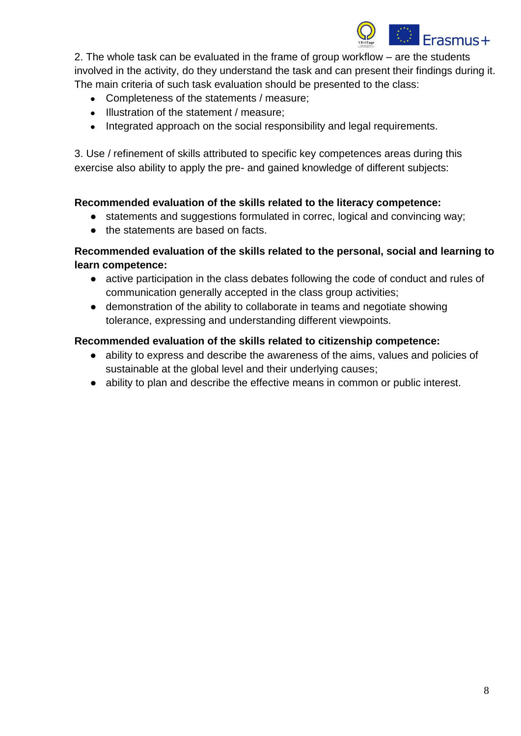

2. The whole task can be evaluated in the frame of group workflow – are the students involved in the activity, do they understand the task and can present their findings during it. The main criteria of such task evaluation should be presented to the class:

- Completeness of the statements / measure;
- Illustration of the statement / measure;
- Integrated approach on the social responsibility and legal requirements.

3. Use / refinement of skills attributed to specific key competences areas during this exercise also ability to apply the pre- and gained knowledge of different subjects:

## **Recommended evaluation of the skills related to the literacy competence:**

- statements and suggestions formulated in correc, logical and convincing way;
- the statements are based on facts.

## **Recommended evaluation of the skills related to the personal, social and learning to learn competence:**

- active participation in the class debates following the code of conduct and rules of communication generally accepted in the class group activities;
- demonstration of the ability to collaborate in teams and negotiate showing tolerance, expressing and understanding different viewpoints.

## **Recommended evaluation of the skills related to citizenship competence:**

- ability to express and describe the awareness of the aims, values and policies of sustainable at the global level and their underlying causes;
- ability to plan and describe the effective means in common or public interest.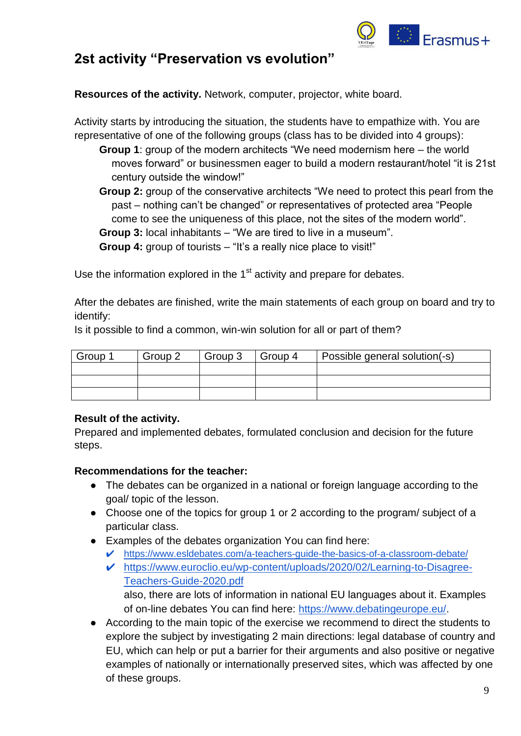

# <span id="page-8-0"></span>**2st activity "Preservation vs evolution"**

**Resources of the activity.** Network, computer, projector, white board.

Activity starts by introducing the situation, the students have to empathize with. You are representative of one of the following groups (class has to be divided into 4 groups):

- **Group 1**: group of the modern architects "We need modernism here the world moves forward" or businessmen eager to build a modern restaurant/hotel "it is 21st century outside the window!"
- **Group 2:** group of the conservative architects "We need to protect this pearl from the past – nothing can't be changed" *o*r representatives of protected area "People come to see the uniqueness of this place, not the sites of the modern world".

**Group 3:** local inhabitants – "We are tired to live in a museum".

**Group 4:** group of tourists – "It's a really nice place to visit!"

Use the information explored in the  $1<sup>st</sup>$  activity and prepare for debates.

After the debates are finished, write the main statements of each group on board and try to identify:

Is it possible to find a common, win-win solution for all or part of them?

| Group 1 | Group 2 | Group 3 | Group 4 | Possible general solution(-s) |
|---------|---------|---------|---------|-------------------------------|
|         |         |         |         |                               |
|         |         |         |         |                               |
|         |         |         |         |                               |

## **Result of the activity.**

Prepared and implemented debates, formulated conclusion and decision for the future steps.

## **Recommendations for the teacher:**

- The debates can be organized in a national or foreign language according to the goal/ topic of the lesson.
- Choose one of the topics for group 1 or 2 according to the program/ subject of a particular class.
- Examples of the debates organization You can find here:
	- ✔ <https://www.esldebates.com/a-teachers-guide-the-basics-of-a-classroom-debate/>
	- ✔ [https://www.euroclio.eu/wp-content/uploads/2020/02/Learning-to-Disagree-](https://www.euroclio.eu/wp-content/uploads/2020/02/Learning-to-Disagree-Teachers-Guide-2020.pdf)[Teachers-Guide-2020.pdf](https://www.euroclio.eu/wp-content/uploads/2020/02/Learning-to-Disagree-Teachers-Guide-2020.pdf) also, there are lots of information in national EU languages about it. Examples of on-line debates You can find here: [https://www.debatingeurope.eu/.](https://www.debatingeurope.eu/)
- According to the main topic of the exercise we recommend to direct the students to explore the subject by investigating 2 main directions: legal database of country and EU, which can help or put a barrier for their arguments and also positive or negative examples of nationally or internationally preserved sites, which was affected by one of these groups.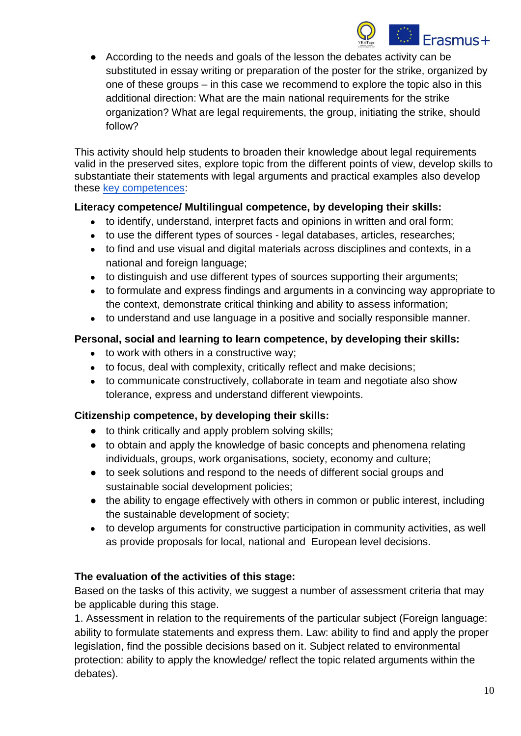

● According to the needs and goals of the lesson the debates activity can be substituted in essay writing or preparation of the poster for the strike, organized by one of these groups – in this case we recommend to explore the topic also in this additional direction: What are the main national requirements for the strike organization? What are legal requirements, the group, initiating the strike, should follow?

This activity should help students to broaden their knowledge about legal requirements valid in the preserved sites, explore topic from the different points of view, develop skills to substantiate their statements with legal arguments and practical examples also develop these [key competences:](https://eur-lex.europa.eu/legal-content/EN/TXT/?uri=uriserv:OJ.C_.2018.189.01.0001.01.ENG)

## **Literacy competence/ Multilingual competence, by developing their skills:**

- to identify, understand, interpret facts and opinions in written and oral form;
- to use the different types of sources legal databases, articles, researches;
- to find and use visual and digital materials across disciplines and contexts, in a national and foreign language;
- to distinguish and use different types of sources supporting their arguments;
- to formulate and express findings and arguments in a convincing way appropriate to the context, demonstrate critical thinking and ability to assess information;
- to understand and use language in a positive and socially responsible manner.

#### **Personal, social and learning to learn competence, by developing their skills:**

- to work with others in a constructive way;
- to focus, deal with complexity, critically reflect and make decisions;
- to communicate constructively, collaborate in team and negotiate also show tolerance, express and understand different viewpoints.

#### **Citizenship competence, by developing their skills:**

- to think critically and apply problem solving skills;
- to obtain and apply the knowledge of basic concepts and phenomena relating individuals, groups, work organisations, society, economy and culture;
- to seek solutions and respond to the needs of different social groups and sustainable social development policies;
- the ability to engage effectively with others in common or public interest, including the sustainable development of society;
- to develop arguments for constructive participation in community activities, as well as provide proposals for local, national and European level decisions.

#### **The evaluation of the activities of this stage:**

Based on the tasks of this activity, we suggest a number of assessment criteria that may be applicable during this stage.

1. Assessment in relation to the requirements of the particular subject (Foreign language: ability to formulate statements and express them. Law: ability to find and apply the proper legislation, find the possible decisions based on it. Subject related to environmental protection: ability to apply the knowledge/ reflect the topic related arguments within the debates).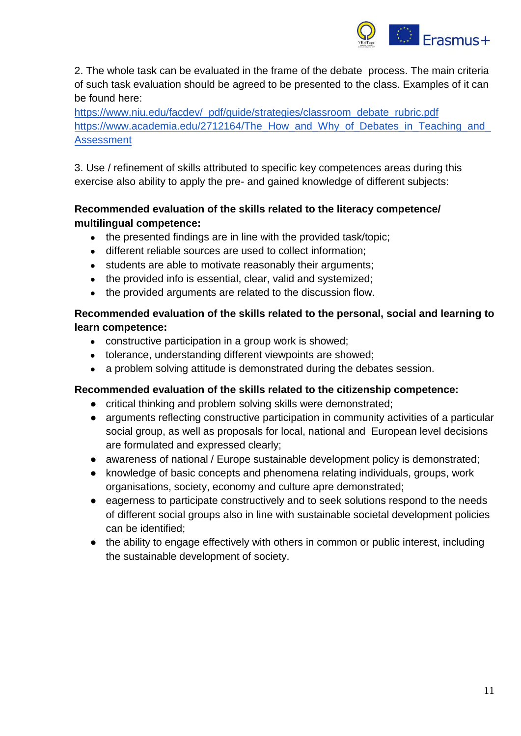

2. The whole task can be evaluated in the frame of the debate process. The main criteria of such task evaluation should be agreed to be presented to the class. Examples of it can be found here:

[https://www.niu.edu/facdev/\\_pdf/guide/strategies/classroom\\_debate\\_rubric.pdf](https://www.niu.edu/facdev/_pdf/guide/strategies/classroom_debate_rubric.pdf) https://www.academia.edu/2712164/The How and Why of Debates in Teaching and **[Assessment](https://www.academia.edu/2712164/The_How_and_Why_of_Debates_in_Teaching_and_Assessment)** 

3. Use / refinement of skills attributed to specific key competences areas during this exercise also ability to apply the pre- and gained knowledge of different subjects:

## **Recommended evaluation of the skills related to the literacy competence/ multilingual competence:**

- the presented findings are in line with the provided task/topic;
- different reliable sources are used to collect information;
- students are able to motivate reasonably their arguments;
- the provided info is essential, clear, valid and systemized;
- the provided arguments are related to the discussion flow.

## **Recommended evaluation of the skills related to the personal, social and learning to learn competence:**

- constructive participation in a group work is showed;
- tolerance, understanding different viewpoints are showed;
- a problem solving attitude is demonstrated during the debates session.

## **Recommended evaluation of the skills related to the citizenship competence:**

- critical thinking and problem solving skills were demonstrated;
- arguments reflecting constructive participation in community activities of a particular social group, as well as proposals for local, national and European level decisions are formulated and expressed clearly;
- awareness of national / Europe sustainable development policy is demonstrated;
- knowledge of basic concepts and phenomena relating individuals, groups, work organisations, society, economy and culture apre demonstrated;
- eagerness to participate constructively and to seek solutions respond to the needs of different social groups also in line with sustainable societal development policies can be identified;
- the ability to engage effectively with others in common or public interest, including the sustainable development of society.